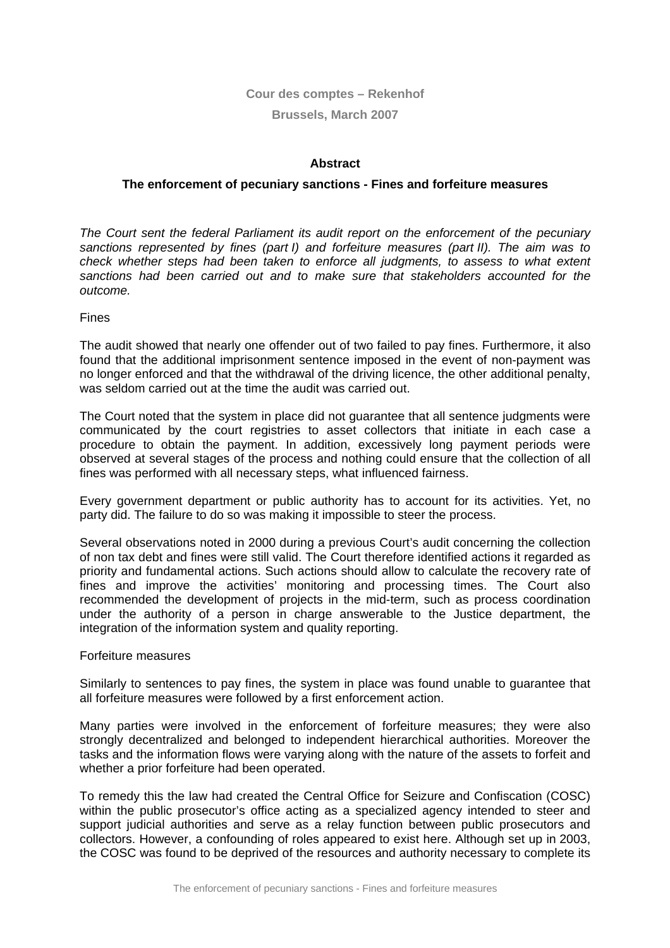# **Cour des comptes – Rekenhof**

# **Brussels, March 2007**

# **Abstract**

### **The enforcement of pecuniary sanctions - Fines and forfeiture measures**

*The Court sent the federal Parliament its audit report on the enforcement of the pecuniary sanctions represented by fines (part I) and forfeiture measures (part II). The aim was to check whether steps had been taken to enforce all judgments, to assess to what extent sanctions had been carried out and to make sure that stakeholders accounted for the outcome.* 

Fines

The audit showed that nearly one offender out of two failed to pay fines. Furthermore, it also found that the additional imprisonment sentence imposed in the event of non-payment was no longer enforced and that the withdrawal of the driving licence, the other additional penalty, was seldom carried out at the time the audit was carried out.

The Court noted that the system in place did not guarantee that all sentence judgments were communicated by the court registries to asset collectors that initiate in each case a procedure to obtain the payment. In addition, excessively long payment periods were observed at several stages of the process and nothing could ensure that the collection of all fines was performed with all necessary steps, what influenced fairness.

Every government department or public authority has to account for its activities. Yet, no party did. The failure to do so was making it impossible to steer the process.

Several observations noted in 2000 during a previous Court's audit concerning the collection of non tax debt and fines were still valid. The Court therefore identified actions it regarded as priority and fundamental actions. Such actions should allow to calculate the recovery rate of fines and improve the activities' monitoring and processing times. The Court also recommended the development of projects in the mid-term, such as process coordination under the authority of a person in charge answerable to the Justice department, the integration of the information system and quality reporting.

#### Forfeiture measures

Similarly to sentences to pay fines, the system in place was found unable to guarantee that all forfeiture measures were followed by a first enforcement action.

Many parties were involved in the enforcement of forfeiture measures; they were also strongly decentralized and belonged to independent hierarchical authorities. Moreover the tasks and the information flows were varying along with the nature of the assets to forfeit and whether a prior forfeiture had been operated.

To remedy this the law had created the Central Office for Seizure and Confiscation (COSC) within the public prosecutor's office acting as a specialized agency intended to steer and support judicial authorities and serve as a relay function between public prosecutors and collectors. However, a confounding of roles appeared to exist here. Although set up in 2003, the COSC was found to be deprived of the resources and authority necessary to complete its